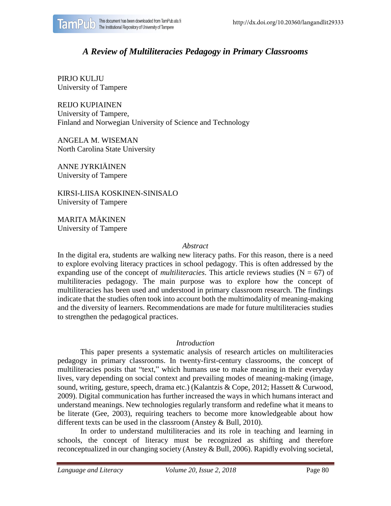

# *A Review of Multiliteracies Pedagogy in Primary Classrooms*

PIRJO KULJU University of Tampere

REIJO KUPIAINEN University of Tampere, Finland and Norwegian University of Science and Technology

ANGELA M. WISEMAN North Carolina State University

ANNE JYRKIÄINEN University of Tampere

KIRSI-LIISA KOSKINEN-SINISALO University of Tampere

MARITA MÄKINEN University of Tampere

#### *Abstract*

In the digital era, students are walking new literacy paths. For this reason, there is a need to explore evolving literacy practices in school pedagogy. This is often addressed by the expanding use of the concept of *multiliteracies*. This article reviews studies ( $N = 67$ ) of multiliteracies pedagogy. The main purpose was to explore how the concept of multiliteracies has been used and understood in primary classroom research. The findings indicate that the studies often took into account both the multimodality of meaning-making and the diversity of learners. Recommendations are made for future multiliteracies studies to strengthen the pedagogical practices.

#### *Introduction*

This paper presents a systematic analysis of research articles on multiliteracies pedagogy in primary classrooms. In twenty-first-century classrooms, the concept of multiliteracies posits that "text," which humans use to make meaning in their everyday lives, vary depending on social context and prevailing modes of meaning-making (image, sound, writing, gesture, speech, drama etc.) (Kalantzis & Cope, 2012; Hassett & Curwood, 2009). Digital communication has further increased the ways in which humans interact and understand meanings. New technologies regularly transform and redefine what it means to be literate (Gee, 2003), requiring teachers to become more knowledgeable about how different texts can be used in the classroom (Anstey & Bull, 2010).

In order to understand multiliteracies and its role in teaching and learning in schools, the concept of literacy must be recognized as shifting and therefore reconceptualized in our changing society (Anstey & Bull, 2006). Rapidly evolving societal,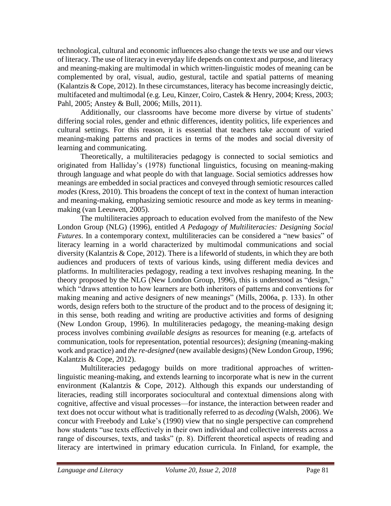technological, cultural and economic influences also change the texts we use and our views of literacy. The use of literacy in everyday life depends on context and purpose, and literacy and meaning-making are multimodal in which written-linguistic modes of meaning can be complemented by oral, visual, audio, gestural, tactile and spatial patterns of meaning (Kalantzis & Cope, 2012). In these circumstances, literacy has become increasingly deictic, multifaceted and multimodal (e.g. Leu, Kinzer, Coiro, Castek & Henry, 2004; Kress, 2003; Pahl, 2005; Anstey & Bull, 2006; Mills, 2011).

Additionally, our classrooms have become more diverse by virtue of students' differing social roles, gender and ethnic differences, identity politics, life experiences and cultural settings. For this reason, it is essential that teachers take account of varied meaning-making patterns and practices in terms of the modes and social diversity of learning and communicating.

Theoretically, a multiliteracies pedagogy is connected to social semiotics and originated from Halliday's (1978) functional linguistics, focusing on meaning-making through language and what people do with that language. Social semiotics addresses how meanings are embedded in social practices and conveyed through semiotic resources called *modes* (Kress, 2010). This broadens the concept of text in the context of human interaction and meaning-making, emphasizing semiotic resource and mode as key terms in meaningmaking (van Leeuwen, 2005).

The multiliteracies approach to education evolved from the manifesto of the New London Group (NLG) (1996), entitled *A Pedagogy of Multiliteracies: Designing Social Futures*. In a contemporary context, multiliteracies can be considered a "new basics" of literacy learning in a world characterized by multimodal communications and social diversity (Kalantzis & Cope, 2012). There is a lifeworld of students, in which they are both audiences and producers of texts of various kinds, using different media devices and platforms. In multiliteracies pedagogy, reading a text involves reshaping meaning. In the theory proposed by the NLG (New London Group, 1996), this is understood as "design," which "draws attention to how learners are both inheritors of patterns and conventions for making meaning and active designers of new meanings" (Mills, 2006a, p. 133). In other words, design refers both to the structure of the product and to the process of designing it; in this sense, both reading and writing are productive activities and forms of designing (New London Group, 1996). In multiliteracies pedagogy, the meaning-making design process involves combining *available designs* as resources for meaning (e.g. artefacts of communication, tools for representation, potential resources); *designing* (meaning-making work and practice) and *the re-designed* (new available designs) (New London Group, 1996; Kalantzis & Cope, 2012).

Multiliteracies pedagogy builds on more traditional approaches of writtenlinguistic meaning-making, and extends learning to incorporate what is new in the current environment (Kalantzis & Cope, 2012). Although this expands our understanding of literacies, reading still incorporates sociocultural and contextual dimensions along with cognitive, affective and visual processes—for instance, the interaction between reader and text does not occur without what is traditionally referred to as *decoding* (Walsh, 2006). We concur with Freebody and Luke's (1990) view that no single perspective can comprehend how students "use texts effectively in their own individual and collective interests across a range of discourses, texts, and tasks" (p. 8). Different theoretical aspects of reading and literacy are intertwined in primary education curricula. In Finland, for example, the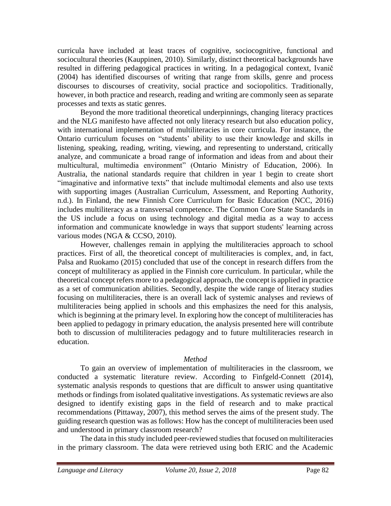curricula have included at least traces of cognitive, sociocognitive, functional and sociocultural theories (Kauppinen, 2010). Similarly, distinct theoretical backgrounds have resulted in differing pedagogical practices in writing. In a pedagogical context, Ivanič (2004) has identified discourses of writing that range from skills, genre and process discourses to discourses of creativity, social practice and sociopolitics. Traditionally, however, in both practice and research, reading and writing are commonly seen as separate processes and texts as static genres.

Beyond the more traditional theoretical underpinnings, changing literacy practices and the NLG manifesto have affected not only literacy research but also education policy, with international implementation of multiliteracies in core curricula. For instance, the Ontario curriculum focuses on "students' ability to use their knowledge and skills in listening, speaking, reading, writing, viewing, and representing to understand, critically analyze, and communicate a broad range of information and ideas from and about their multicultural, multimedia environment" (Ontario Ministry of Education, 2006). In Australia, the national standards require that children in year 1 begin to create short "imaginative and informative texts" that include multimodal elements and also use texts with supporting images (Australian Curriculum, Assessment, and Reporting Authority, n.d.). In Finland, the new Finnish Core Curriculum for Basic Education (NCC, 2016) includes multiliteracy as a transversal competence. The Common Core State Standards in the US include a focus on using technology and digital media as a way to access information and communicate knowledge in ways that support students' learning across various modes (NGA & CCSO, 2010).

However, challenges remain in applying the multiliteracies approach to school practices. First of all, the theoretical concept of multiliteracies is complex, and, in fact, Palsa and Ruokamo (2015) concluded that use of the concept in research differs from the concept of multiliteracy as applied in the Finnish core curriculum. In particular, while the theoretical concept refers more to a pedagogical approach, the concept is applied in practice as a set of communication abilities. Secondly, despite the wide range of literacy studies focusing on multiliteracies, there is an overall lack of systemic analyses and reviews of multiliteracies being applied in schools and this emphasizes the need for this analysis, which is beginning at the primary level. In exploring how the concept of multiliteracies has been applied to pedagogy in primary education, the analysis presented here will contribute both to discussion of multiliteracies pedagogy and to future multiliteracies research in education.

### *Method*

To gain an overview of implementation of multiliteracies in the classroom, we conducted a systematic literature review. According to Finfgeld-Connett (2014), systematic analysis responds to questions that are difficult to answer using quantitative methods or findings from isolated qualitative investigations. As systematic reviews are also designed to identify existing gaps in the field of research and to make practical recommendations (Pittaway, 2007), this method serves the aims of the present study. The guiding research question was as follows: How has the concept of multiliteracies been used and understood in primary classroom research?

The data in this study included peer-reviewed studies that focused on multiliteracies in the primary classroom. The data were retrieved using both ERIC and the Academic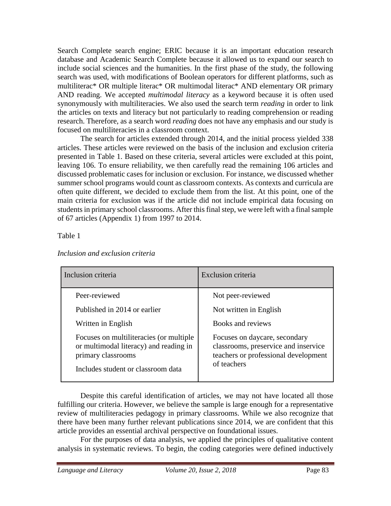Search Complete search engine; ERIC because it is an important education research database and Academic Search Complete because it allowed us to expand our search to include social sciences and the humanities. In the first phase of the study, the following search was used, with modifications of Boolean operators for different platforms, such as multiliterac\* OR multiple literac\* OR multimodal literac\* AND elementary OR primary AND reading. We accepted *multimodal literacy* as a keyword because it is often used synonymously with multiliteracies. We also used the search term *reading* in order to link the articles on texts and literacy but not particularly to reading comprehension or reading research. Therefore, as a search word *reading* does not have any emphasis and our study is focused on multiliteracies in a classroom context.

The search for articles extended through 2014, and the initial process yielded 338 articles. These articles were reviewed on the basis of the inclusion and exclusion criteria presented in Table 1. Based on these criteria, several articles were excluded at this point, leaving 106. To ensure reliability, we then carefully read the remaining 106 articles and discussed problematic cases for inclusion or exclusion. For instance, we discussed whether summer school programs would count as classroom contexts. As contexts and curricula are often quite different, we decided to exclude them from the list. At this point, one of the main criteria for exclusion was if the article did not include empirical data focusing on students in primary school classrooms. After this final step, we were left with a final sample of 67 articles (Appendix 1) from 1997 to 2014.

Table 1

| Inclusion criteria                                                                                                                            | Exclusion criteria                                                                                                           |
|-----------------------------------------------------------------------------------------------------------------------------------------------|------------------------------------------------------------------------------------------------------------------------------|
| Peer-reviewed                                                                                                                                 | Not peer-reviewed                                                                                                            |
| Published in 2014 or earlier                                                                                                                  | Not written in English                                                                                                       |
| Written in English                                                                                                                            | Books and reviews                                                                                                            |
| Focuses on multiliteracies (or multiple<br>or multimodal literacy) and reading in<br>primary classrooms<br>Includes student or classroom data | Focuses on daycare, secondary<br>classrooms, preservice and inservice<br>teachers or professional development<br>of teachers |

#### *Inclusion and exclusion criteria*

Despite this careful identification of articles, we may not have located all those fulfilling our criteria. However, we believe the sample is large enough for a representative review of multiliteracies pedagogy in primary classrooms. While we also recognize that there have been many further relevant publications since 2014, we are confident that this article provides an essential archival perspective on foundational issues.

For the purposes of data analysis, we applied the principles of qualitative content analysis in systematic reviews. To begin, the coding categories were defined inductively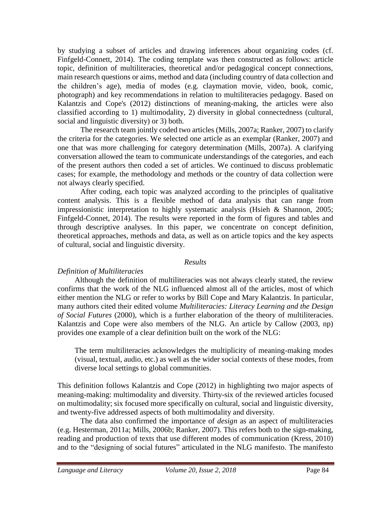by studying a subset of articles and drawing inferences about organizing codes (cf. Finfgeld-Connett, 2014). The coding template was then constructed as follows: article topic, definition of multiliteracies, theoretical and/or pedagogical concept connections, main research questions or aims, method and data (including country of data collection and the children's age), media of modes (e.g. claymation movie, video, book, comic, photograph) and key recommendations in relation to multiliteracies pedagogy. Based on Kalantzis and Cope's (2012) distinctions of meaning-making, the articles were also classified according to 1) multimodality, 2) diversity in global connectedness (cultural, social and linguistic diversity) or 3) both.

The research team jointly coded two articles (Mills, 2007a; Ranker, 2007) to clarify the criteria for the categories. We selected one article as an exemplar (Ranker, 2007) and one that was more challenging for category determination (Mills, 2007a). A clarifying conversation allowed the team to communicate understandings of the categories, and each of the present authors then coded a set of articles. We continued to discuss problematic cases; for example, the methodology and methods or the country of data collection were not always clearly specified.

After coding, each topic was analyzed according to the principles of qualitative content analysis. This is a flexible method of data analysis that can range from impressionistic interpretation to highly systematic analysis (Hsieh & Shannon, 2005; Finfgeld-Connet, 2014). The results were reported in the form of figures and tables and through descriptive analyses. In this paper, we concentrate on concept definition, theoretical approaches, methods and data, as well as on article topics and the key aspects of cultural, social and linguistic diversity.

### *Results*

### *Definition of Multiliteracies*

Although the definition of multiliteracies was not always clearly stated, the review confirms that the work of the NLG influenced almost all of the articles, most of which either mention the NLG or refer to works by Bill Cope and Mary Kalantzis. In particular, many authors cited their edited volume *Multiliteracies: Literacy Learning and the Design of Social Futures* (2000), which is a further elaboration of the theory of multiliteracies. Kalantzis and Cope were also members of the NLG. An article by Callow (2003, np) provides one example of a clear definition built on the work of the NLG:

The term multiliteracies acknowledges the multiplicity of meaning-making modes (visual, textual, audio, etc.) as well as the wider social contexts of these modes, from diverse local settings to global communities.

This definition follows Kalantzis and Cope (2012) in highlighting two major aspects of meaning-making: multimodality and diversity. Thirty-six of the reviewed articles focused on multimodality; six focused more specifically on cultural, social and linguistic diversity, and twenty-five addressed aspects of both multimodality and diversity.

The data also confirmed the importance of *design* as an aspect of multiliteracies (e.g. Hesterman, 2011a; Mills, 2006b; Ranker, 2007). This refers both to the sign-making, reading and production of texts that use different modes of communication (Kress, 2010) and to the "designing of social futures" articulated in the NLG manifesto. The manifesto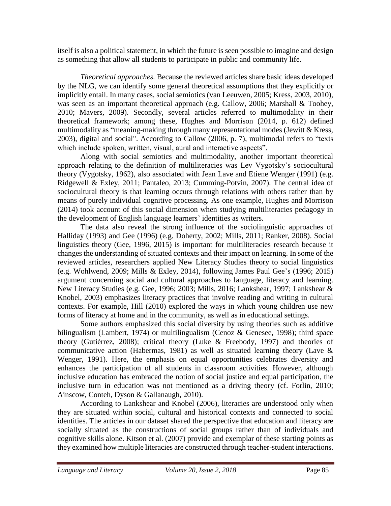itself is also a political statement, in which the future is seen possible to imagine and design as something that allow all students to participate in public and community life.

*Theoretical approaches.* Because the reviewed articles share basic ideas developed by the NLG, we can identify some general theoretical assumptions that they explicitly or implicitly entail. In many cases, social semiotics (van Leeuwen, 2005; Kress, 2003, 2010), was seen as an important theoretical approach (e.g. Callow, 2006; Marshall & Toohey, 2010; Mavers, 2009). Secondly, several articles referred to multimodality in their theoretical framework; among these, Hughes and Morrison (2014, p. 612) defined multimodality as "meaning-making through many representational modes (Jewitt & Kress, 2003), digital and social". According to Callow (2006, p. 7), multimodal refers to "texts which include spoken, written, visual, aural and interactive aspects".

Along with social semiotics and multimodality, another important theoretical approach relating to the definition of multiliteracies was Lev Vygotsky's sociocultural theory (Vygotsky, 1962), also associated with Jean Lave and Etiene Wenger (1991) (e.g. Ridgewell & Exley, 2011; Pantaleo, 2013; Cumming-Potvin, 2007). The central idea of sociocultural theory is that learning occurs through relations with others rather than by means of purely individual cognitive processing. As one example, Hughes and Morrison (2014) took account of this social dimension when studying multiliteracies pedagogy in the development of English language learners' identities as writers.

The data also reveal the strong influence of the sociolinguistic approaches of Halliday (1993) and Gee (1996) (e.g. Doherty, 2002; Mills, 2011; Ranker, 2008). Social linguistics theory (Gee, 1996, 2015) is important for multiliteracies research because it changes the understanding of situated contexts and their impact on learning. In some of the reviewed articles, researchers applied New Literacy Studies theory to social linguistics (e.g. Wohlwend, 2009; Mills & Exley, 2014), following James Paul Gee's (1996; 2015) argument concerning social and cultural approaches to language, literacy and learning. New Literacy Studies (e.g. Gee, 1996; 2003; Mills, 2016; Lankshear, 1997; Lankshear & Knobel, 2003) emphasizes literacy practices that involve reading and writing in cultural contexts. For example, Hill (2010) explored the ways in which young children use new forms of literacy at home and in the community, as well as in educational settings.

Some authors emphasized this social diversity by using theories such as additive bilingualism (Lambert, 1974) or multilingualism (Cenoz & Genesee, 1998); third space theory (Gutiérrez, 2008); critical theory (Luke & Freebody, 1997) and theories of communicative action (Habermas, 1981) as well as situated learning theory (Lave & Wenger, 1991). Here, the emphasis on equal opportunities celebrates diversity and enhances the participation of all students in classroom activities. However, although inclusive education has embraced the notion of social justice and equal participation, the inclusive turn in education was not mentioned as a driving theory (cf. Forlin, 2010; Ainscow, Conteh, Dyson & Gallanaugh, 2010).

According to Lankshear and Knobel (2006), literacies are understood only when they are situated within social, cultural and historical contexts and connected to social identities. The articles in our dataset shared the perspective that education and literacy are socially situated as the constructions of social groups rather than of individuals and cognitive skills alone. Kitson et al. (2007) provide and exemplar of these starting points as they examined how multiple literacies are constructed through teacher-student interactions.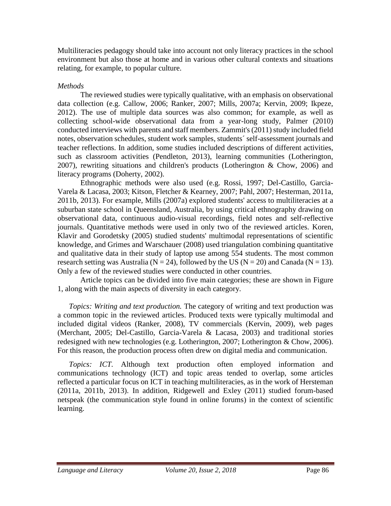Multiliteracies pedagogy should take into account not only literacy practices in the school environment but also those at home and in various other cultural contexts and situations relating, for example, to popular culture.

#### *Methods*

The reviewed studies were typically qualitative, with an emphasis on observational data collection (e.g. Callow, 2006; Ranker, 2007; Mills, 2007a; Kervin, 2009; Ikpeze, 2012). The use of multiple data sources was also common; for example, as well as collecting school-wide observational data from a year-long study, Palmer (2010) conducted interviews with parents and staff members. Zammit's (2011) study included field notes, observation schedules, student work samples, students´ self-assessment journals and teacher reflections. In addition, some studies included descriptions of different activities, such as classroom activities (Pendleton, 2013), learning communities (Lotherington, 2007), rewriting situations and children's products (Lotherington & Chow, 2006) and literacy programs (Doherty, 2002).

Ethnographic methods were also used (e.g. Rossi, 1997; Del-Castillo, Garcia-Varela & Lacasa, 2003; Kitson, Fletcher & Kearney, 2007; Pahl, 2007; Hesterman, 2011a, 2011b, 2013). For example, Mills (2007a) explored students' access to multiliteracies at a suburban state school in Queensland, Australia, by using critical ethnography drawing on observational data, continuous audio-visual recordings, field notes and self-reflective journals. Quantitative methods were used in only two of the reviewed articles. Koren, Klavir and Gorodetsky (2005) studied students' multimodal representations of scientific knowledge, and Grimes and Warschauer (2008) used triangulation combining quantitative and qualitative data in their study of laptop use among 554 students. The most common research setting was Australia ( $N = 24$ ), followed by the US ( $N = 20$ ) and Canada ( $N = 13$ ). Only a few of the reviewed studies were conducted in other countries.

Article topics can be divided into five main categories; these are shown in Figure 1, along with the main aspects of diversity in each category.

*Topics: Writing and text production.* The category of writing and text production was a common topic in the reviewed articles. Produced texts were typically multimodal and included digital videos (Ranker, 2008), TV commercials (Kervin, 2009), web pages (Merchant, 2005; Del-Castillo, Garcia-Varela & Lacasa, 2003) and traditional stories redesigned with new technologies (e.g. Lotherington, 2007; Lotherington & Chow, 2006). For this reason, the production process often drew on digital media and communication.

*Topics: ICT.* Although text production often employed information and communications technology (ICT) and topic areas tended to overlap, some articles reflected a particular focus on ICT in teaching multiliteracies, as in the work of Hersteman (2011a, 2011b, 2013). In addition, Ridgewell and Exley (2011) studied forum-based netspeak (the communication style found in online forums) in the context of scientific learning.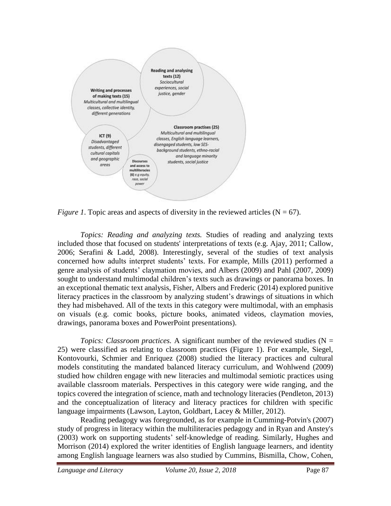

*Figure 1*. Topic areas and aspects of diversity in the reviewed articles ( $N = 67$ ).

*Topics: Reading and analyzing texts.* Studies of reading and analyzing texts included those that focused on students' interpretations of texts (e.g. Ajay, 2011; Callow, 2006; Serafini & Ladd, 2008). Interestingly, several of the studies of text analysis concerned how adults interpret students' texts. For example, Mills (2011) performed a genre analysis of students' claymation movies, and Albers (2009) and Pahl (2007, 2009) sought to understand multimodal children's texts such as drawings or panorama boxes. In an exceptional thematic text analysis, Fisher, Albers and Frederic (2014) explored punitive literacy practices in the classroom by analyzing student's drawings of situations in which they had misbehaved. All of the texts in this category were multimodal, with an emphasis on visuals (e.g. comic books, picture books, animated videos, claymation movies, drawings, panorama boxes and PowerPoint presentations).

*Topics: Classroom practices.* A significant number of the reviewed studies ( $N =$ 25) were classified as relating to classroom practices (Figure 1). For example, Siegel, Kontovourki, Schmier and Enriquez (2008) studied the literacy practices and cultural models constituting the mandated balanced literacy curriculum, and Wohlwend (2009) studied how children engage with new literacies and multimodal semiotic practices using available classroom materials. Perspectives in this category were wide ranging, and the topics covered the integration of science, math and technology literacies (Pendleton, 2013) and the conceptualization of literacy and literacy practices for children with specific language impairments (Lawson, Layton, Goldbart, Lacey & Miller, 2012).

Reading pedagogy was foregrounded, as for example in Cumming-Potvin's (2007) study of progress in literacy within the multiliteracies pedagogy and in Ryan and Anstey's (2003) work on supporting students' self-knowledge of reading. Similarly, Hughes and Morrison (2014) explored the writer identities of English language learners, and identity among English language learners was also studied by Cummins, Bismilla, Chow, Cohen,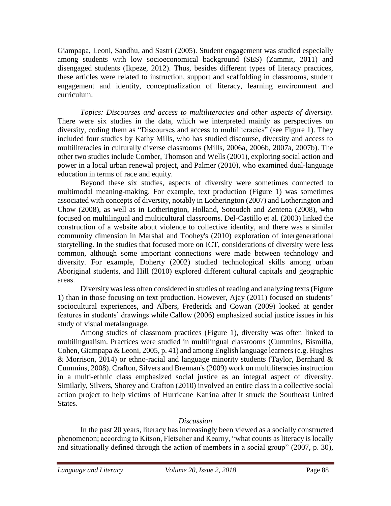Giampapa, Leoni, Sandhu, and Sastri (2005). Student engagement was studied especially among students with low socioeconomical background (SES) (Zammit, 2011) and disengaged students (Ikpeze, 2012). Thus, besides different types of literacy practices, these articles were related to instruction, support and scaffolding in classrooms, student engagement and identity, conceptualization of literacy, learning environment and curriculum.

*Topics: Discourses and access to multiliteracies and other aspects of diversity.*  There were six studies in the data, which we interpreted mainly as perspectives on diversity, coding them as "Discourses and access to multiliteracies" (see Figure 1). They included four studies by Kathy Mills, who has studied discourse, diversity and access to multiliteracies in culturally diverse classrooms (Mills, 2006a, 2006b, 2007a, 2007b). The other two studies include Comber, Thomson and Wells (2001), exploring social action and power in a local urban renewal project, and Palmer (2010), who examined dual-language education in terms of race and equity.

Beyond these six studies, aspects of diversity were sometimes connected to multimodal meaning-making. For example, text production (Figure 1) was sometimes associated with concepts of diversity, notably in Lotherington (2007) and Lotherington and Chow (2008), as well as in Lotherington, Holland, Sotoudeh and Zentena (2008), who focused on multilingual and multicultural classrooms. Del-Castillo et al. (2003) linked the construction of a website about violence to collective identity, and there was a similar community dimension in Marshal and Toohey's (2010) exploration of intergenerational storytelling. In the studies that focused more on ICT, considerations of diversity were less common, although some important connections were made between technology and diversity. For example, Doherty (2002) studied technological skills among urban Aboriginal students, and Hill (2010) explored different cultural capitals and geographic areas.

Diversity was less often considered in studies of reading and analyzing texts (Figure 1) than in those focusing on text production. However, Ajay (2011) focused on students' sociocultural experiences, and Albers, Frederick and Cowan (2009) looked at gender features in students' drawings while Callow (2006) emphasized social justice issues in his study of visual metalanguage.

Among studies of classroom practices (Figure 1), diversity was often linked to multilingualism. Practices were studied in multilingual classrooms (Cummins, Bismilla, Cohen, Giampapa & Leoni, 2005, p. 41) and among English language learners (e.g. Hughes & Morrison, 2014) or ethno-racial and language minority students (Taylor, Bernhard & Cummins, 2008). Crafton, Silvers and Brennan's (2009) work on multiliteracies instruction in a multi-ethnic class emphasized social justice as an integral aspect of diversity. Similarly, Silvers, Shorey and Crafton (2010) involved an entire class in a collective social action project to help victims of Hurricane Katrina after it struck the Southeast United States.

### *Discussion*

In the past 20 years, literacy has increasingly been viewed as a socially constructed phenomenon; according to Kitson, Fletscher and Kearny, "what counts as literacy is locally and situationally defined through the action of members in a social group" (2007, p. 30),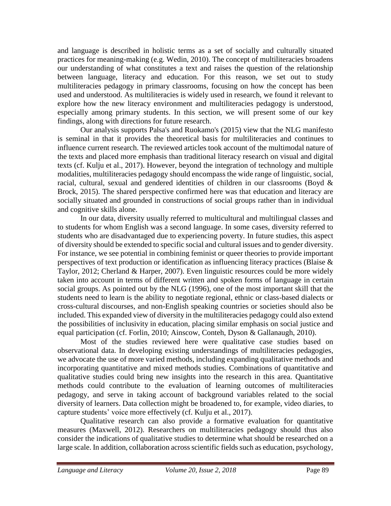and language is described in holistic terms as a set of socially and culturally situated practices for meaning-making (e.g. Wedin, 2010). The concept of multiliteracies broadens our understanding of what constitutes a text and raises the question of the relationship between language, literacy and education. For this reason, we set out to study multiliteracies pedagogy in primary classrooms, focusing on how the concept has been used and understood. As multiliteracies is widely used in research, we found it relevant to explore how the new literacy environment and multiliteracies pedagogy is understood, especially among primary students. In this section, we will present some of our key findings, along with directions for future research.

Our analysis supports Palsa's and Ruokamo's (2015) view that the NLG manifesto is seminal in that it provides the theoretical basis for multiliteracies and continues to influence current research. The reviewed articles took account of the multimodal nature of the texts and placed more emphasis than traditional literacy research on visual and digital texts (cf. Kulju et al., 2017). However, beyond the integration of technology and multiple modalities, multiliteracies pedagogy should encompass the wide range of linguistic, social, racial, cultural, sexual and gendered identities of children in our classrooms (Boyd & Brock, 2015). The shared perspective confirmed here was that education and literacy are socially situated and grounded in constructions of social groups rather than in individual and cognitive skills alone.

In our data, diversity usually referred to multicultural and multilingual classes and to students for whom English was a second language. In some cases, diversity referred to students who are disadvantaged due to experiencing poverty. In future studies, this aspect of diversity should be extended to specific social and cultural issues and to gender diversity. For instance, we see potential in combining feminist or queer theories to provide important perspectives of text production or identification as influencing literacy practices (Blaise & Taylor, 2012; Cherland & Harper, 2007). Even linguistic resources could be more widely taken into account in terms of different written and spoken forms of language in certain social groups. As pointed out by the NLG (1996), one of the most important skill that the students need to learn is the ability to negotiate regional, ethnic or class-based dialects or cross-cultural discourses, and non-English speaking countries or societies should also be included. This expanded view of diversity in the multiliteracies pedagogy could also extend the possibilities of inclusivity in education, placing similar emphasis on social justice and equal participation (cf. Forlin, 2010; Ainscow, Conteh, Dyson & Gallanaugh, 2010).

Most of the studies reviewed here were qualitative case studies based on observational data. In developing existing understandings of multiliteracies pedagogies, we advocate the use of more varied methods, including expanding qualitative methods and incorporating quantitative and mixed methods studies. Combinations of quantitative and qualitative studies could bring new insights into the research in this area. Quantitative methods could contribute to the evaluation of learning outcomes of multiliteracies pedagogy, and serve in taking account of background variables related to the social diversity of learners. Data collection might be broadened to, for example, video diaries, to capture students' voice more effectively (cf. Kulju et al., 2017).

Qualitative research can also provide a formative evaluation for quantitative measures (Maxwell, 2012). Researchers on multiliteracies pedagogy should thus also consider the indications of qualitative studies to determine what should be researched on a large scale. In addition, collaboration across scientific fields such as education, psychology,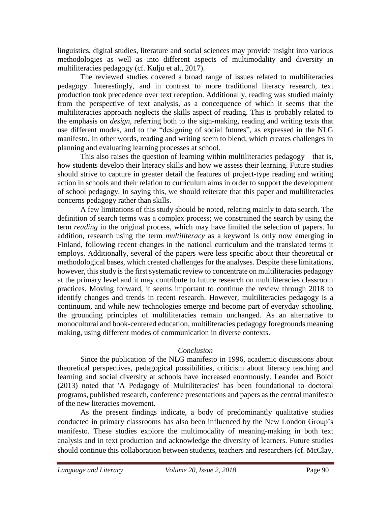linguistics, digital studies, literature and social sciences may provide insight into various methodologies as well as into different aspects of multimodality and diversity in multiliteracies pedagogy (cf. Kulju et al., 2017).

The reviewed studies covered a broad range of issues related to multiliteracies pedagogy. Interestingly, and in contrast to more traditional literacy research, text production took precedence over text reception. Additionally, reading was studied mainly from the perspective of text analysis, as a concequence of which it seems that the multiliteracies approach neglects the skills aspect of reading. This is probably related to the emphasis on *design*, referring both to the sign-making, reading and writing texts that use different modes, and to the "designing of social futures", as expressed in the NLG manifesto. In other words, reading and writing seem to blend, which creates challenges in planning and evaluating learning processes at school.

This also raises the question of learning within multiliteracies pedagogy—that is, how students develop their literacy skills and how we assess their learning. Future studies should strive to capture in greater detail the features of project-type reading and writing action in schools and their relation to curriculum aims in order to support the development of school pedagogy. In saying this, we should reiterate that this paper and multiliteracies concerns pedagogy rather than skills.

A few limitations of this study should be noted, relating mainly to data search. The definition of search terms was a complex process; we constrained the search by using the term *reading* in the original process, which may have limited the selection of papers. In addition, research using the term *multiliteracy* as a keyword is only now emerging in Finland, following recent changes in the national curriculum and the translated terms it employs. Additionally, several of the papers were less specific about their theoretical or methodological bases, which created challenges for the analyses. Despite these limitations, however, this study is the first systematic review to concentrate on multiliteracies pedagogy at the primary level and it may contribute to future research on multiliteracies classroom practices. Moving forward, it seems important to continue the review through 2018 to identify changes and trends in recent research. However, multiliteracies pedagogy is a continuum, and while new technologies emerge and become part of everyday schooling, the grounding principles of multiliteracies remain unchanged. As an alternative to monocultural and book-centered education, multiliteracies pedagogy foregrounds meaning making, using different modes of communication in diverse contexts.

# *Conclusion*

Since the publication of the NLG manifesto in 1996, academic discussions about theoretical perspectives, pedagogical possibilities, criticism about literacy teaching and learning and social diversity at schools have increased enormously. Leander and Boldt (2013) noted that 'A Pedagogy of Multiliteracies' has been foundational to doctoral programs, published research, conference presentations and papers as the central manifesto of the new literacies movement.

As the present findings indicate, a body of predominantly qualitative studies conducted in primary classrooms has also been influenced by the New London Group's manifesto. These studies explore the multimodality of meaning-making in both text analysis and in text production and acknowledge the diversity of learners. Future studies should continue this collaboration between students, teachers and researchers (cf. McClay,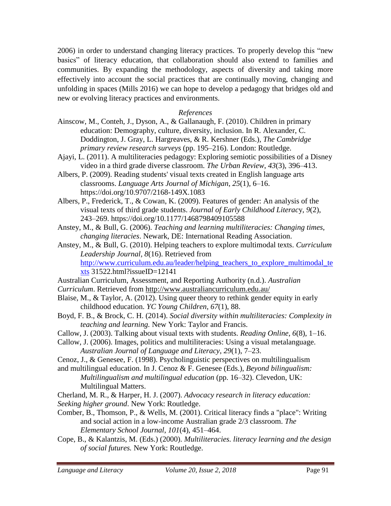2006) in order to understand changing literacy practices. To properly develop this "new basics" of literacy education, that collaboration should also extend to families and communities. By expanding the methodology, aspects of diversity and taking more effectively into account the social practices that are continually moving, changing and unfolding in spaces (Mills 2016) we can hope to develop a pedagogy that bridges old and new or evolving literacy practices and environments.

### *References*

- Ainscow, M., Conteh, J., Dyson, A., & Gallanaugh, F. (2010). Children in primary education: Demography, culture, diversity, inclusion. In R. Alexander, C. Doddington, J. Gray, L. Hargreaves, & R. Kershner (Eds.), *The Cambridge primary review research surveys* (pp. 195–216). London: Routledge.
- Ajayi, L. (2011). A multiliteracies pedagogy: Exploring semiotic possibilities of a Disney video in a third grade diverse classroom. *The Urban Review*, *43*(3), 396–413.
- Albers, P. (2009). Reading students' visual texts created in English language arts classrooms. *Language Arts Journal of Michigan*, *25*(1), 6–16. [https://doi.org/10.9707/2168-149X.1083](http://dx.doi.org/10.9707/2168-149X.1083)
- Albers, P., Frederick, T., & Cowan, K. (2009). Features of gender: An analysis of the visual texts of third grade students. *Journal of Early Childhood Literac*y, *9*(2), 243–269. https://doi.org/10.1177/1468798409105588
- Anstey, M., & Bull, G. (2006). *Teaching and learning multiliteracies: Changing times, changing literacies*. Newark, DE: International Reading Association.
- Anstey, M., & Bull, G. (2010). Helping teachers to explore multimodal texts. *Curriculum Leadership Journal, 8*(16). Retrieved from [http://www.curriculum.edu.au/leader/helping\\_teachers\\_to\\_explore\\_multimodal\\_te](http://www.curriculum.edu.au/leader/helping_teachers_to_explore_multimodal_texts)  $x$ ts 31522.html?issueID=12141
- Australian Curriculum, Assessment, and Reporting Authority (n.d.). *Australian*
- *Curriculum*. Retrieved from<http://www.australiancurriculum.edu.au/>
- Blaise, M., & Taylor, A. (2012). Using queer theory to rethink gender equity in early childhood education. *YC Young Children*, *67*(1), 88.
- Boyd, F. B., & Brock, C. H. (2014). *Social diversity within multiliteracies: Complexity in teaching and learning.* New York: Taylor and Francis.
- Callow, J. (2003). Talking about visual texts with students. *Reading Online*, *6*(8), 1–16.
- Callow, J. (2006). Images, politics and multiliteracies: Using a visual metalanguage. *Australian Journal of Language and Literacy*, *29*(1), 7–23.
- Cenoz, J., & Genesee, F. (1998). Psycholinguistic perspectives on multilingualism
- and multilingual education. In J. Cenoz & F. Genesee (Eds.), *Beyond bilingualism: Multilingualism and multilingual education* (pp. 16–32). Clevedon, UK: Multilingual Matters.
- Cherland, M. R., & Harper, H. J. (2007). *Advocacy research in literacy education: Seeking higher ground*. New York: Routledge.
- Comber, B., Thomson, P., & Wells, M. (2001). Critical literacy finds a "place": Writing and social action in a low-income Australian grade 2/3 classroom. *The Elementary School Journal*, *101*(4), 451–464.
- Cope, B., & Kalantzis, M. (Eds.) (2000). *Multiliteracies. literacy learning and the design of social futures.* New York: Routledge.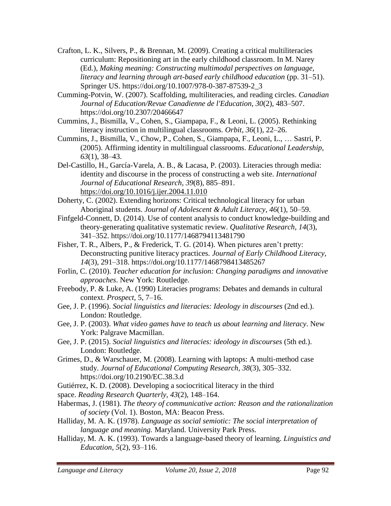- Crafton, L. K., Silvers, P., & Brennan, M. (2009). Creating a critical multiliteracies curriculum: Repositioning art in the early childhood classroom. In M. Narey (Ed.), *Making meaning: Constructing multimodal perspectives on language, literacy and learning through art-based early childhood education* (pp. 31–51). Springer US. https://doi.org/10.1007/978-0-387-87539-2\_3
- Cumming-Potvin, W. (2007). Scaffolding, multiliteracies, and reading circles. *Canadian Journal of Education/Revue Canadienne de l'Education*, *30*(2), 483–507. https://doi.org/10.2307/20466647
- Cummins, J., Bismilla, V., Cohen, S., Giampapa, F., & Leoni, L. (2005). Rethinking literacy instruction in multilingual classrooms. *Orbit*, *36*(1), 22–26.
- Cummins, J., Bismilla, V., Chow, P., Cohen, S., Giampapa, F., Leoni, L., … Sastri, P. (2005). Affirming identity in multilingual classrooms. *Educational Leadership*, *63*(1), 38–43.
- Del-Castillo, H., García-Varela, A. B., & Lacasa, P. (2003). Literacies through media: identity and discourse in the process of constructing a web site. *International Journal of Educational Research*, *39*(8), 885–891. <https://doi.org/10.1016/j.ijer.2004.11.010>
- Doherty, C. (2002). Extending horizons: Critical technological literacy for urban Aboriginal students. *Journal of Adolescent & Adult Literacy*, *46*(1), 50–59.
- Finfgeld-Connett, D. (2014). Use of content analysis to conduct knowledge-building and theory-generating qualitative systematic review. *Qualitative Research*, *14*(3), 341–352. https://doi.org/10.1177/1468794113481790
- Fisher, T. R., Albers, P., & Frederick, T. G. (2014). When pictures aren't pretty: Deconstructing punitive literacy practices*. Journal of Early Childhood Literacy, 14*(3), 291–318. https://doi.org/10.1177/1468798413485267
- Forlin, C. (2010). *Teacher education for inclusion: Changing paradigms and innovative approaches*. New York: Routledge.
- Freebody, P. & Luke, A. (1990) Literacies programs: Debates and demands in cultural context. *Prospect,* 5, 7–16.
- Gee, J. P. (1996). *Social linguistics and literacies: Ideology in discourses* (2nd ed.). London: Routledge.
- Gee, J. P. (2003). *What video games have to teach us about learning and literacy*. New York: Palgrave Macmillan.
- Gee, J. P. (2015). *Social linguistics and literacies: ideology in discourses* (5th ed.). London: Routledge.
- Grimes, D., & Warschauer, M. (2008). Learning with laptops: A multi-method case study. *Journal of Educational Computing Research*, *38*(3), 305–332. https://doi.org/10.2190/EC.38.3.d
- Gutiérrez, K. D. (2008). Developing a sociocritical literacy in the third
- space. *Reading Research Quarterly, 43*(2), 148–164.
- Habermas, J. (1981). *The theory of communicative action: Reason and the rationalization of society* (Vol. 1). Boston, MA: Beacon Press.
- Halliday, M. A. K. (1978). *Language as social semiotic: The social interpretation of language and meaning.* Maryland. University Park Press.
- Halliday, M. A. K. (1993). Towards a language-based theory of learning. *Linguistics and Education, 5*(2), 93–116.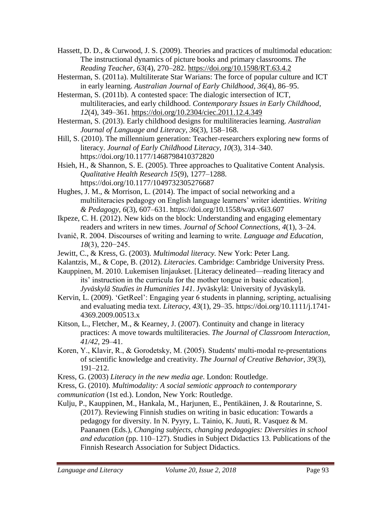Hassett, D. D., & Curwood, J. S. (2009). Theories and practices of multimodal education: The instructional dynamics of picture books and primary classrooms*. The Reading Teacher*, *63*(4), 270–282.<https://doi.org/10.1598/RT.63.4.2>

Hesterman, S. (2011a). Multiliterate Star Warians: The force of popular culture and ICT in early learning. *Australian Journal of Early Childhood, 36*(4), 86–95.

Hesterman, S. (2011b). A contested space: The dialogic intersection of ICT, multiliteracies, and early childhood. *Contemporary Issues in Early Childhood*, *12*(4), 349–361.<https://doi.org/10.2304/ciec.2011.12.4.349>

Hesterman, S. (2013). Early childhood designs for multiliteracies learning. *Australian Journal of Language and Literacy*, *36*(3), 158–168.

Hill, S. (2010). The millennium generation: Teacher-researchers exploring new forms of literacy. *Journal of Early Childhood Literacy*, *10*(3), 314–340. https://doi.org/10.1177/1468798410372820

Hsieh, H., & Shannon, S. E. (2005). Three approaches to Qualitative Content Analysis. *Qualitative Health Research 15*(9), 1277–1288. https://doi.org/10.1177/1049732305276687

Hughes, J. M., & Morrison, L. (2014). The impact of social networking and a multiliteracies pedagogy on English language learners' writer identities. *Writing & Pedagogy, 6*(3), 607*–*631. https://doi.org[/10.1558/wap.v6i3.607](http://dx.doi.org/10.1558/wap.v6i3.607)

Ikpeze, C. H. (2012). New kids on the block: Understanding and engaging elementary readers and writers in new times. *Journal of School Connections, 4*(1), 3–24.

- Ivanič, R. 2004. Discourses of writing and learning to write. *Language and Education, 18*(3), 220−245.
- Jewitt, C., & Kress, G. (2003). *Multimodal literacy.* New York: Peter Lang.

Kalantzis, M., & Cope, B. (2012). *Literacies*. Cambridge: Cambridge University Press.

Kauppinen, M. 2010. Lukemisen linjaukset. [Literacy delineated—reading literacy and its' instruction in the curricula for the mother tongue in basic education]. *Jyväskylä Studies in Humanities 141*. Jyväskylä: University of Jyväskylä.

Kervin, L. (2009). 'GetReel': Engaging year 6 students in planning, scripting, actualising and evaluating media text. *Literacy*, *43*(1), 29–35. https://doi.org/10.1111/j.1741- 4369.2009.00513.x

Kitson, L., Fletcher, M., & Kearney, J. (2007). Continuity and change in literacy practices: A move towards multiliteracies. *The Journal of Classroom Interaction*, *41/42,* 29–41.

Koren, Y., Klavir, R., & Gorodetsky, M. (2005). Students' multi-modal re-presentations of scientific knowledge and creativity. *The Journal of Creative Behavior*, *39*(3), 191–212.

Kress, G. (2003) *Literacy in the new media age*. London: Routledge.

Kress, G. (2010). *Multimodality: A social semiotic approach to contemporary* 

*communication* (1st ed.). London, New York: Routledge.

Kulju, P., Kauppinen, M., Hankala, M., Harjunen, E., Pentikäinen, J. & Routarinne, S. (2017). Reviewing Finnish studies on writing in basic education: Towards a pedagogy for diversity. In N. Pyyry, L. Tainio, K. Juuti, R. Vasquez & M. Paananen (Eds.), *Changing subjects, changing pedagogies: Diversities in school and education* (pp. 110–127). Studies in Subject Didactics 13. Publications of the Finnish Research Association for Subject Didactics.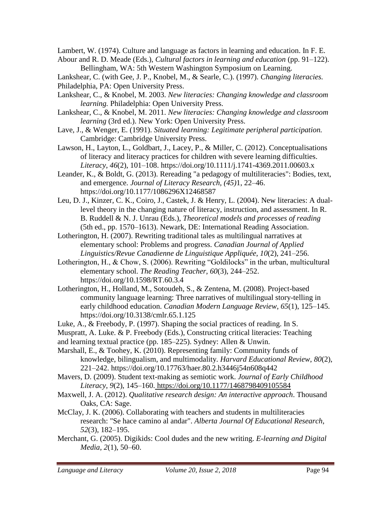Lambert, W. (1974). Culture and language as factors in learning and education. In F. E.

Abour and R. D. Meade (Eds.), *Cultural factors in learning and education* (pp. 91–122). Bellingham, WA: 5th Western Washington Symposium on Learning.

Lankshear, C. (with Gee, J. P., Knobel, M., & Searle, C.). (1997). *Changing literacies.* Philadelphia, PA: Open University Press.

- Lankshear, C., & Knobel, M. 2003. *New literacies: Changing knowledge and classroom learning.* Philadelphia: Open University Press.
- Lankshear, C., & Knobel, M. 2011. *New literacies: Changing knowledge and classroom learning* (3rd ed.). New York: Open University Press.
- Lave, J., & Wenger, E. (1991). *Situated learning: Legitimate peripheral participation.*  Cambridge: Cambridge University Press.

Lawson, H., Layton, L., Goldbart, J., Lacey, P., & Miller, C. (2012). Conceptualisations of literacy and literacy practices for children with severe learning difficulties. *Literacy*, *46*(2), 101–108. https://doi.org/10.1111/j.1741-4369.2011.00603.x

Leander, K., & Boldt, G. (2013). Rereading "a pedagogy of multiliteracies": Bodies, text, and emergence*. Journal of Literacy Research, (45)*1, 22–46. https://doi.org/10.1177/1086296X12468587

Leu, D. J., Kinzer, C. K., Coiro, J., Castek, J. & Henry, L. (2004). New literacies: A duallevel theory in the changing nature of literacy, instruction, and assessment. In R. B. Ruddell & N. J. Unrau (Eds.), *Theoretical models and processes of reading* (5th ed., pp. 1570–1613). Newark, DE: International Reading Association.

Lotherington, H. (2007). Rewriting traditional tales as multilingual narratives at elementary school: Problems and progress. *Canadian Journal of Applied Linguistics/Revue Canadienne de Linguistique Appliquée*, *10*(2), 241–256.

- Lotherington, H., & Chow, S. (2006). Rewriting "Goldilocks" in the urban, multicultural elementary school. *The Reading Teacher*, *60*(3), 244–252. https://doi.org/10.1598/RT.60.3.4
- Lotherington, H., Holland, M., Sotoudeh, S., & Zentena, M. (2008). Project-based community language learning: Three narratives of multilingual story-telling in early childhood education. *Canadian Modern Language Review*, *65*(1), 125–145. https://doi.org/10.3138/cmlr.65.1.125

Luke, A., & Freebody, P. (1997). Shaping the social practices of reading. In S.

- Muspratt, A. Luke. & P. Freebody (Eds.), Constructing critical literacies: Teaching
- and learning textual practice (pp. 185–225). Sydney: Allen & Unwin.
- Marshall, E., & Toohey, K. (2010). Representing family: Community funds of knowledge, bilingualism, and multimodality. *Harvard Educational Review*, *80*(2), 221–242. https://doi.org/10.17763/haer.80.2.h3446j54n608q442

Mavers, D. (2009). Student text-making as semiotic work. *Journal of Early Childhood Literacy*, *9*(2), 145–160. <https://doi.org/10.1177/1468798409105584>

- Maxwell, J. A. (2012). *Qualitative research design: An interactive approach*. Thousand Oaks, CA: Sage.
- McClay, J. K. (2006). Collaborating with teachers and students in multiliteracies research: "Se hace camino al andar". *Alberta Journal Of Educational Research*, *52*(3), 182–195.
- Merchant, G. (2005). Digikids: Cool dudes and the new writing. *E-learning and Digital Media*, *2*(1), 50–60.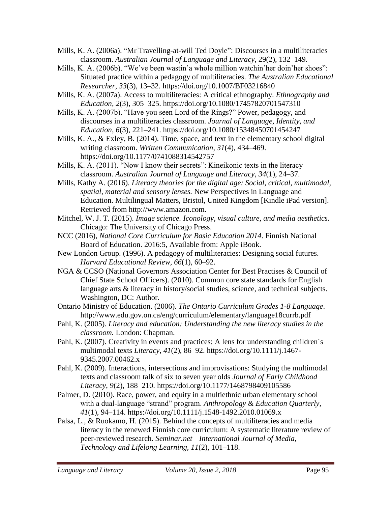- Mills, K. A. (2006a). "Mr Travelling-at-will Ted Doyle": Discourses in a multiliteracies classroom. *Australian Journal of Language and Literacy*, 29(2), 132–149.
- Mills, K. A. (2006b). "We've been wastin'a whole million watchin'her doin'her shoes": Situated practice within a pedagogy of multiliteracies. *The Australian Educational Researcher*, *33*(3), 13–32. https://doi.org/10.1007/BF03216840
- Mills, K. A. (2007a). Access to multiliteracies: A critical ethnography. *Ethnography and Education, 2*(3), 305–325. https://doi.org/10.1080/17457820701547310
- Mills, K. A. (2007b). "Have you seen Lord of the Rings?" Power, pedagogy, and discourses in a multiliteracies classroom. *Journal of Language, Identity, and Education*, *6*(3), 221–241. https://doi.org/10.1080/15348450701454247
- Mills, K. A.,  $\&$  Exley, B. (2014). Time, space, and text in the elementary school digital writing classroom. *Written Communication*, *31*(4), 434–469. https://doi.org/10.1177/0741088314542757
- Mills, K. A. (2011). "Now I know their secrets": Kineikonic texts in the literacy classroom. *Australian Journal of Language and Literacy*, *34*(1), 24–37.
- [Mills, Kathy A.](http://eprints.qut.edu.au/view/person/Mills,_Kathy.html) (2016). *Literacy theories for the digital age: Social, critical, multimodal, spatial, material and sensory lenses.* New Perspectives in Language and Education. Multilingual Matters, Bristol, United Kingdom [Kindle iPad version]. Retrieved from http://www.amazon.com.
- Mitchel, W. J. T. (2015). *Image science. Iconology, visual culture, and media aesthetics*. Chicago: The University of Chicago Press.
- NCC (2016), *National Core Curriculum for Basic Education 2014*. Finnish National Board of Education. 2016:5, Available from: Apple iBook.
- New London Group. (1996). A pedagogy of multiliteracies: Designing social futures. *Harvard Educational Review, 66*(1), 60–92.
- NGA & CCSO (National Governors Association Center for Best Practises & Council of Chief State School Officers). (2010). Common core state standards for English language arts & literacy in history/social studies, science, and technical subjects. Washington, DC: Author.
- Ontario Ministry of Education. (2006). *The Ontario Curriculum Grades 1-8 Language*. http://www.edu.gov.on.ca/eng/curriculum/elementary/language18currb.pdf
- Pahl, K. (2005). *Literacy and education: Understanding the new literacy studies in the classroom.* London: Chapman.
- Pahl, K. (2007). Creativity in events and practices: A lens for understanding children's multimodal texts *Literacy*, *41*(2), 86–92. https://doi.org/10.1111/j.1467- 9345.2007.00462.x
- Pahl, K. (2009). Interactions, intersections and improvisations: Studying the multimodal texts and classroom talk of six to seven year olds *Journal of Early Childhood Literacy*, *9*(2), 188–210. https://doi.org/10.1177/1468798409105586
- Palmer, D. (2010). Race, power, and equity in a multiethnic urban elementary school with a dual-language "strand" program. Anthropology & Education Quarterly, *41*(1), 94–114. https://doi.org/10.1111/j.1548-1492.2010.01069.x
- Palsa, L., & Ruokamo, H. (2015). Behind the concepts of multiliteracies and media literacy in the renewed Finnish core curriculum: A systematic literature review of peer-reviewed research. *Seminar.net—International Journal of Media, Technology and Lifelong Learning, 11*(2), 101–118.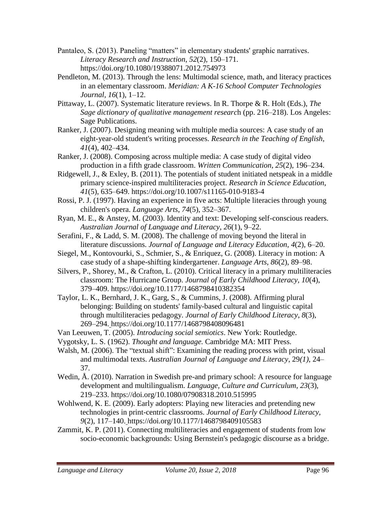- Pantaleo, S. (2013). Paneling "matters" in elementary students' graphic narratives. *Literacy Research and Instruction*, *52*(2), 150–171. https://doi.org/10.1080/19388071.2012.754973
- Pendleton, M. (2013). Through the lens: Multimodal science, math, and literacy practices in an elementary classroom. *Meridian: A K-16 School Computer Technologies Journal*, *16*(1), 1–12.
- Pittaway, L. (2007). Systematic literature reviews. In R. Thorpe & R. Holt (Eds.), *The Sage dictionary of qualitative management researc*h (pp. 216–218). Los Angeles: Sage Publications.
- Ranker, J. (2007). Designing meaning with multiple media sources: A case study of an eight-year-old student's writing processes. *Research in the Teaching of English*, *41*(4), 402–434.
- Ranker, J. (2008). Composing across multiple media: A case study of digital video production in a fifth grade classroom. *Written Communication*, *25*(2), 196–234.
- Ridgewell, J., & Exley, B.  $(2011)$ . The potentials of student initiated netspeak in a middle primary science-inspired multiliteracies project. *Research in Science Education*, *41*(5), 635–649. https://doi.org/10.1007/s11165-010-9183-4
- Rossi, P. J. (1997). Having an experience in five acts: Multiple literacies through young children's opera. *Language Arts*, *74*(5), 352–367.
- Ryan, M. E., & Anstey, M. (2003). Identity and text: Developing self-conscious readers. *Australian Journal of Language and Literacy*, *26*(1), 9–22.
- Serafini, F., & Ladd, S. M. (2008). The challenge of moving beyond the literal in literature discussions. *Journal of Language and Literacy Education*, *4*(2), 6–20.
- Siegel, M., Kontovourki, S., Schmier, S., & Enriquez, G. (2008). Literacy in motion: A case study of a shape-shifting kindergartener. *Language Arts*, *86*(2), 89–98.
- Silvers, P., Shorey, M., & Crafton, L. (2010). Critical literacy in a primary multiliteracies classroom: The Hurricane Group. *Journal of Early Childhood Literacy, 10*(4), 379–409. https://doi.org/10.1177/1468798410382354
- Taylor, L. K., Bernhard, J. K., Garg, S., & Cummins, J. (2008). Affirming plural belonging: Building on students' family-based cultural and linguistic capital through multiliteracies pedagogy. *Journal of Early Childhood Literacy*, *8*(3), 269–294. https://doi.org/10.1177/1468798408096481
- Van Leeuwen, T. (2005). *Introducing social semiotics*. New York: Routledge.
- Vygotsky, L. S. (1962). *Thought and language.* Cambridge MA: MIT Press.
- Walsh, M. (2006). The "textual shift": Examining the reading process with print, visual and multimodal texts. *Australian Journal of Language and Literacy*, 29*(1)*, 24– 37.
- Wedin, Å. (2010). Narration in Swedish pre-and primary school: A resource for language development and multilingualism. *Language, Culture and Curriculum*, *23*(3), 219–233. https://doi.org/10.1080/07908318.2010.515995
- Wohlwend, K. E. (2009). Early adopters: Playing new literacies and pretending new technologies in print-centric classrooms. *Journal of Early Childhood Literacy, 9*(2), 117–140. https://doi.org/10.1177/1468798409105583
- Zammit, K. P. (2011). Connecting multiliteracies and engagement of students from low socio-economic backgrounds: Using Bernstein's pedagogic discourse as a bridge.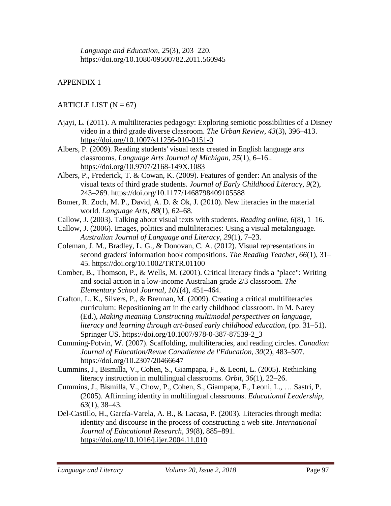*Language and Education*, *25*(3), 203–220. https://doi.org/10.1080/09500782.2011.560945

# APPENDIX 1

### ARTICLE LIST  $(N = 67)$

- Ajayi, L. (2011). A multiliteracies pedagogy: Exploring semiotic possibilities of a Disney video in a third grade diverse classroom. *The Urban Review*, *43*(3), 396–413. <https://doi.org/10.1007/s11256-010-0151-0>
- Albers, P. (2009). Reading students' visual texts created in English language arts classrooms. *Language Arts Journal of Michigan*, *25*(1), 6–16.. <https://doi.org/10.9707/2168-149X.1083>
- Albers, P., Frederick, T. & Cowan, K. (2009). Features of gender: An analysis of the visual texts of third grade students. *Journal of Early Childhood Literac*y, *9*(2), 243–269. https://doi.org/10.1177/1468798409105588
- Bomer, R. Zoch, M. P., David, A. D. & Ok, J. (2010). New literacies in the material world. *Language Arts*, *88*(1), 62–68.
- Callow, J. (2003). Talking about visual texts with students. *Reading online*, *6*(8), 1–16.
- Callow, J. (2006). Images, politics and multiliteracies: Using a visual metalanguage. *Australian Journal of Language and Literacy*, *29*(1), 7–23.
- Coleman, J. M., Bradley, L. G., & Donovan, C. A. (2012). Visual representations in second graders' information book compositions. *The Reading Teacher*, *66*(1), 31– 45. https://doi.org/10.1002/TRTR.01100
- Comber, B., Thomson, P., & Wells, M. (2001). Critical literacy finds a "place": Writing and social action in a low-income Australian grade 2/3 classroom. *The Elementary School Journal*, *101*(4), 451–464.
- Crafton, L. K., Silvers, P., & Brennan, M. (2009). Creating a critical multiliteracies curriculum: Repositioning art in the early childhood classroom. In M. Narey (Ed.), *Making meaning Constructing multimodal perspectives on language, literacy and learning through art-based early childhood education*, (pp. 31–51). Springer US. https://doi.org/10.1007/978-0-387-87539-2\_3
- Cumming-Potvin, W. (2007). Scaffolding, multiliteracies, and reading circles. *Canadian Journal of Education/Revue Canadienne de l'Education*, *30*(2), 483–507. https://doi.org/10.2307/20466647
- Cummins, J., Bismilla, V., Cohen, S., Giampapa, F., & Leoni, L. (2005). Rethinking literacy instruction in multilingual classrooms. *Orbit*, *36*(1), 22–26.
- Cummins, J., Bismilla, V., Chow, P., Cohen, S., Giampapa, F., Leoni, L., … Sastri, P. (2005). Affirming identity in multilingual classrooms. *Educational Leadership*, *63*(1), 38–43.
- Del-Castillo, H., García-Varela, A. B., & Lacasa, P. (2003). Literacies through media: identity and discourse in the process of constructing a web site. *International Journal of Educational Research*, *39*(8), 885–891. <https://doi.org/10.1016/j.ijer.2004.11.010>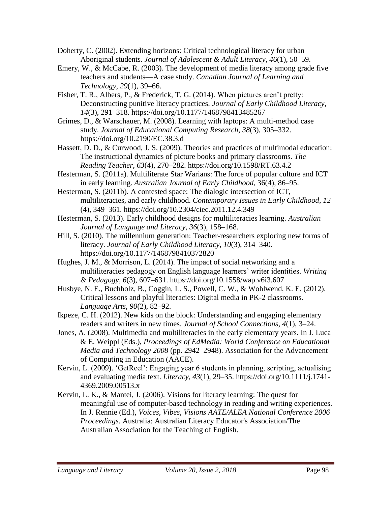Doherty, C. (2002). Extending horizons: Critical technological literacy for urban Aboriginal students. *Journal of Adolescent & Adult Literacy*, *46*(1), 50–59.

- Emery, W., & McCabe, R. (2003). The development of media literacy among grade five teachers and students—A case study. *Canadian Journal of Learning and Technology*, *29*(1), 39–66.
- Fisher, T. R., Albers, P., & Frederick, T. G. (2014). When pictures aren't pretty: Deconstructing punitive literacy practices*. Journal of Early Childhood Literacy, 14*(3), 291–318. https://doi.org/10.1177/1468798413485267
- Grimes, D., & Warschauer, M. (2008). Learning with laptops: A multi-method case study. *Journal of Educational Computing Research*, *38*(3), 305–332. https://doi.org/10.2190/EC.38.3.d
- Hassett, D. D., & Curwood, J. S. (2009). Theories and practices of multimodal education: The instructional dynamics of picture books and primary classrooms*. The Reading Teacher*, *63*(4), 270–282. <https://doi.org/10.1598/RT.63.4.2>
- Hesterman, S. (2011a). Multiliterate Star Warians: The force of popular culture and ICT in early learning. *Australian Journal of Early Childhood*, 36(4), 86–95.
- Hesterman, S. (2011b). A contested space: The dialogic intersection of ICT, multiliteracies, and early childhood. *Contemporary Issues in Early Childhood*, *12*  (4), 349–361.<https://doi.org/10.2304/ciec.2011.12.4.349>

Hesterman, S. (2013). Early childhood designs for multiliteracies learning. *Australian Journal of Language and Literacy*, *36*(3), 158–168.

- Hill, S. (2010). The millennium generation: Teacher-researchers exploring new forms of literacy. *Journal of Early Childhood Literacy*, *10*(3), 314–340. https://doi.org/10.1177/1468798410372820
- Hughes, J. M., & Morrison, L. (2014). The impact of social networking and a multiliteracies pedagogy on English language learners' writer identities. *Writing & Pedagogy*, *6*(3), 607–631. https://doi.org[/10.1558/wap.v6i3.607](http://dx.doi.org/10.1558/wap.v6i3.607)
- Husbye, N. E., Buchholz, B., Coggin, L. S., Powell, C. W., & Wohlwend, K. E. (2012). Critical lessons and playful literacies: Digital media in PK-2 classrooms. *Language Arts*, *90*(2), 82–92.
- Ikpeze, C. H. (2012). New kids on the block: Understanding and engaging elementary readers and writers in new times. *Journal of School Connections*, *4*(1), 3–24.
- Jones, A. (2008). Multimedia and multiliteracies in the early elementary years. In J. Luca & E. Weippl (Eds.), *Proceedings of EdMedia: World Conference on Educational Media and Technology 2008* (pp. 2942–2948). Association for the Advancement of Computing in Education (AACE).
- Kervin, L. (2009). 'GetReel': Engaging year 6 students in planning, scripting, actualising and evaluating media text. *Literacy*, *43*(1), 29–35. https://doi.org/10.1111/j.1741- 4369.2009.00513.x
- Kervin, L. K., & Mantei, J. (2006). Visions for literacy learning: The quest for meaningful use of computer-based technology in reading and writing experiences. In J. Rennie (Ed.), *Voices, Vibes, Visions AATE/ALEA National Conference 2006 Proceedings.* Australia: Australian Literacy Educator's Association/The Australian Association for the Teaching of English.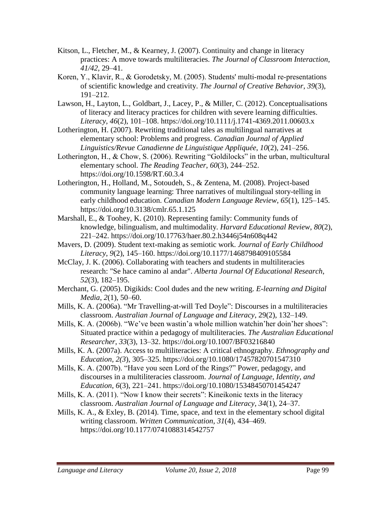- Kitson, L., Fletcher, M., & Kearney, J. (2007). Continuity and change in literacy practices: A move towards multiliteracies. *The Journal of Classroom Interaction*, *41/42,* 29–41.
- Koren, Y., Klavir, R., & Gorodetsky, M. (2005). Students' multi-modal re-presentations of scientific knowledge and creativity. *The Journal of Creative Behavior*, *39*(3), 191–212.
- Lawson, H., Layton, L., Goldbart, J., Lacey, P., & Miller, C. (2012). Conceptualisations of literacy and literacy practices for children with severe learning difficulties. *Literacy*, *46*(2), 101–108. https://doi.org/10.1111/j.1741-4369.2011.00603.x
- Lotherington, H. (2007). Rewriting traditional tales as multilingual narratives at elementary school: Problems and progress. *Canadian Journal of Applied Linguistics/Revue Canadienne de Linguistique Appliquée*, *10*(2), 241–256.
- Lotherington, H., & Chow, S. (2006). Rewriting "Goldilocks" in the urban, multicultural elementary school. *The Reading Teacher*, *60*(3), 244–252. https://doi.org/10.1598/RT.60.3.4
- Lotherington, H., Holland, M., Sotoudeh, S., & Zentena, M. (2008). Project-based community language learning: Three narratives of multilingual story-telling in early childhood education. *Canadian Modern Language Review*, *65*(1), 125–145. https://doi.org/10.3138/cmlr.65.1.125
- Marshall, E., & Toohey, K. (2010). Representing family: Community funds of knowledge, bilingualism, and multimodality. *Harvard Educational Review*, *80*(2), 221–242. https://doi.org/10.17763/haer.80.2.h3446j54n608q442
- Mavers, D. (2009). Student text-making as semiotic work. *Journal of Early Childhood Literacy*, *9*(2), 145–160. https://doi.org/10.1177/1468798409105584
- McClay, J. K. (2006). Collaborating with teachers and students in multiliteracies research: "Se hace camino al andar". *Alberta Journal Of Educational Research*, *52*(3), 182–195.
- Merchant, G. (2005). Digikids: Cool dudes and the new writing. *E-learning and Digital Media*, *2*(1), 50–60.
- Mills, K. A. (2006a). "Mr Travelling-at-will Ted Doyle": Discourses in a multiliteracies classroom. *Australian Journal of Language and Literacy*, 29(2), 132–149.
- Mills, K. A. (2006b). "We've been wastin'a whole million watchin'her doin'her shoes": Situated practice within a pedagogy of multiliteracies. *The Australian Educational Researcher*, *33*(3), 13–32. https://doi.org/10.1007/BF03216840
- Mills, K. A. (2007a). Access to multiliteracies: A critical ethnography. *Ethnography and Education, 2(3*), 305–325. https://doi.org/10.1080/17457820701547310
- Mills, K. A. (2007b). "Have you seen Lord of the Rings?" Power, pedagogy, and discourses in a multiliteracies classroom. *Journal of Language, Identity, and Education*, *6*(3), 221–241. https://doi.org/10.1080/15348450701454247
- Mills, K. A. (2011). "Now I know their secrets": Kineikonic texts in the literacy classroom. *Australian Journal of Language and Literacy*, *34*(1), 24–37.
- Mills, K. A.,  $\&$  Exley, B. (2014). Time, space, and text in the elementary school digital writing classroom. *Written Communication*, *31*(4), 434–469. https://doi.org/10.1177/0741088314542757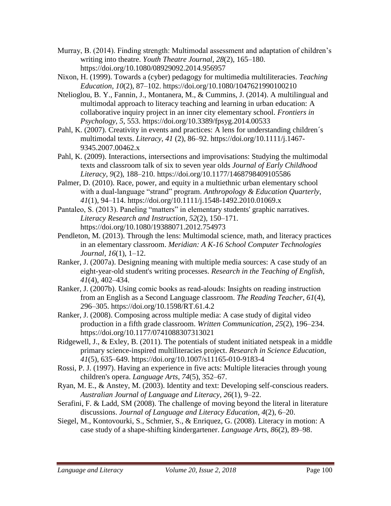- Murray, B. (2014). Finding strength: Multimodal assessment and adaptation of children's writing into theatre. *Youth Theatre Journal, 28*(2), 165–180. https://doi.org/10.1080/08929092.2014.956957
- Nixon, H. (1999). Towards a (cyber) pedagogy for multimedia multiliteracies. *Teaching Education, 10*(2), 87–102. https://doi.org/10.1080/1047621990100210
- Ntelioglou, B. Y., Fannin, J., Montanera, M., & Cummins, J. (2014). A multilingual and multimodal approach to literacy teaching and learning in urban education: A collaborative inquiry project in an inner city elementary school. *Frontiers in Psychology, 5*, 553. https://doi.org/10.3389/fpsyg.2014.00533
- Pahl, K. (2007). Creativity in events and practices: A lens for understanding children's multimodal texts. *Literacy*, *41* (2), 86–92. https://doi.org/10.1111/j.1467- 9345.2007.00462.x
- Pahl, K. (2009). Interactions, intersections and improvisations: Studying the multimodal texts and classroom talk of six to seven year olds *Journal of Early Childhood Literacy*, *9*(2), 188–210. https://doi.org/10.1177/1468798409105586
- Palmer, D. (2010). Race, power, and equity in a multiethnic urban elementary school with a dual-language "strand" program. Anthropology & Education Quarterly, *41*(1), 94–114. https://doi.org/10.1111/j.1548-1492.2010.01069.x
- Pantaleo, S. (2013). Paneling "matters" in elementary students' graphic narratives. *Literacy Research and Instruction*, *52*(2), 150–171. https://doi.org/10.1080/19388071.2012.754973
- Pendleton, M. (2013). Through the lens: Multimodal science, math, and literacy practices in an elementary classroom. *Meridian: A K-16 School Computer Technologies Journal*, *16*(1), 1–12.
- Ranker, J. (2007a). Designing meaning with multiple media sources: A case study of an eight-year-old student's writing processes. *Research in the Teaching of English*, *41*(4), 402–434.
- Ranker, J. (2007b). Using comic books as read‐alouds: Insights on reading instruction from an English as a Second Language classroom. *The Reading Teacher*, *61*(4), 296–305. https://doi.org/10.1598/RT.61.4.2
- Ranker, J. (2008). Composing across multiple media: A case study of digital video production in a fifth grade classroom. *Written Communication*, *25*(2), 196–234. https://doi.org/10.1177/0741088307313021
- Ridgewell, J., & Exley, B. (2011). The potentials of student initiated netspeak in a middle primary science-inspired multiliteracies project. *Research in Science Education*, *41*(5), 635–649. https://doi.org/10.1007/s11165-010-9183-4
- Rossi, P. J. (1997). Having an experience in five acts: Multiple literacies through young children's opera. *Language Arts*, *74*(5), 352–67.
- Ryan, M. E., & Anstey, M. (2003). Identity and text: Developing self-conscious readers. *Australian Journal of Language and Literacy*, *26*(1), 9–22.
- Serafini, F. & Ladd, SM (2008). The challenge of moving beyond the literal in literature discussions. *Journal of Language and Literacy Education*, *4*(2), 6–20.
- Siegel, M., Kontovourki, S., Schmier, S., & Enriquez, G. (2008). Literacy in motion: A case study of a shape-shifting kindergartener. *Language Arts*, *86*(2), 89–98.